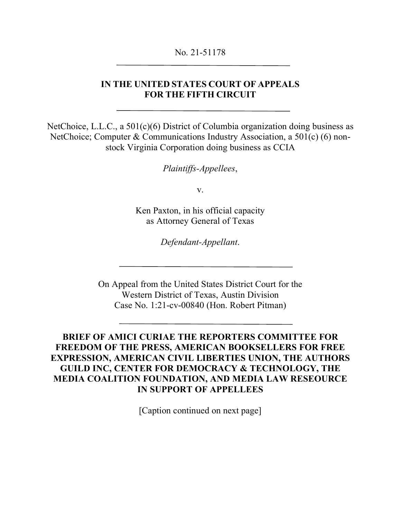#### No. 21-51178

## **IN THE UNITED STATES COURT OF APPEALS FOR THE FIFTH CIRCUIT**

NetChoice, L.L.C., a 501(c)(6) District of Columbia organization doing business as NetChoice; Computer & Communications Industry Association, a 501(c) (6) nonstock Virginia Corporation doing business as CCIA

*Plaintiffs-Appellees*,

v.

Ken Paxton, in his official capacity as Attorney General of Texas

*Defendant-Appellant*.

On Appeal from the United States District Court for the Western District of Texas, Austin Division Case No. 1:21-cv-00840 (Hon. Robert Pitman)

# **BRIEF OF AMICI CURIAE THE REPORTERS COMMITTEE FOR FREEDOM OF THE PRESS, AMERICAN BOOKSELLERS FOR FREE EXPRESSION, AMERICAN CIVIL LIBERTIES UNION, THE AUTHORS GUILD INC, CENTER FOR DEMOCRACY & TECHNOLOGY, THE MEDIA COALITION FOUNDATION, AND MEDIA LAW RESEOURCE IN SUPPORT OF APPELLEES**

[Caption continued on next page]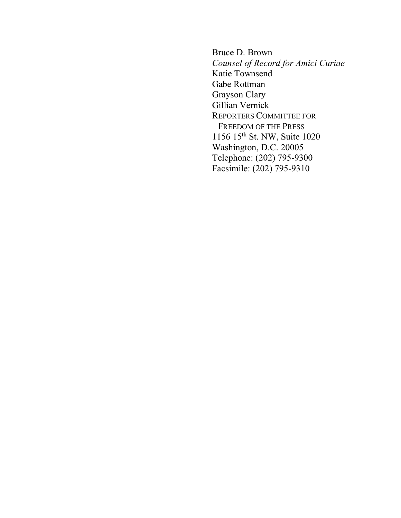Bruce D. Brown *Counsel of Record for Amici Curiae* Katie Townsend Gabe Rottman Grayson Clary Gillian Vernick REPORTERS COMMITTEE FOR FREEDOM OF THE PRESS 1156 15th St. NW, Suite 1020 Washington, D.C. 20005 Telephone: (202) 795-9300 Facsimile: (202) 795-9310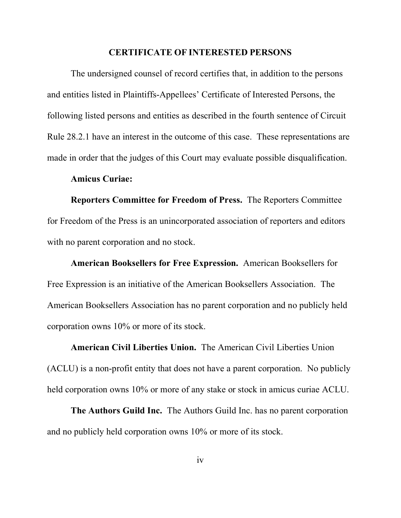#### **CERTIFICATE OF INTERESTED PERSONS**

The undersigned counsel of record certifies that, in addition to the persons and entities listed in Plaintiffs-Appellees' Certificate of Interested Persons, the following listed persons and entities as described in the fourth sentence of Circuit Rule 28.2.1 have an interest in the outcome of this case. These representations are made in order that the judges of this Court may evaluate possible disqualification.

#### **Amicus Curiae:**

**Reporters Committee for Freedom of Press.** The Reporters Committee for Freedom of the Press is an unincorporated association of reporters and editors with no parent corporation and no stock.

**American Booksellers for Free Expression.** American Booksellers for Free Expression is an initiative of the American Booksellers Association. The American Booksellers Association has no parent corporation and no publicly held corporation owns 10% or more of its stock.

**American Civil Liberties Union.** The American Civil Liberties Union (ACLU) is a non-profit entity that does not have a parent corporation. No publicly held corporation owns 10% or more of any stake or stock in amicus curiae ACLU.

**The Authors Guild Inc.** The Authors Guild Inc. has no parent corporation and no publicly held corporation owns 10% or more of its stock.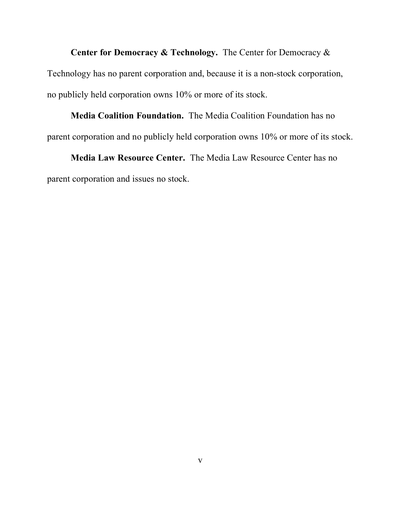**Center for Democracy & Technology.** The Center for Democracy & Technology has no parent corporation and, because it is a non-stock corporation, no publicly held corporation owns 10% or more of its stock.

# **Media Coalition Foundation.** The Media Coalition Foundation has no parent corporation and no publicly held corporation owns 10% or more of its stock.

**Media Law Resource Center.** The Media Law Resource Center has no parent corporation and issues no stock.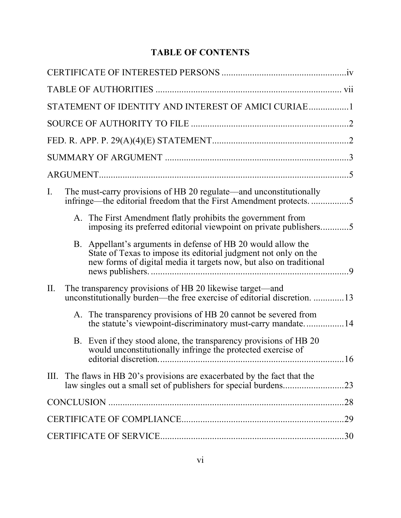# **TABLE OF CONTENTS**

|     |    | STATEMENT OF IDENTITY AND INTEREST OF AMICI CURIAE1                                                                                                                                                |    |
|-----|----|----------------------------------------------------------------------------------------------------------------------------------------------------------------------------------------------------|----|
|     |    |                                                                                                                                                                                                    |    |
|     |    |                                                                                                                                                                                                    |    |
|     |    |                                                                                                                                                                                                    |    |
|     |    |                                                                                                                                                                                                    |    |
| I.  |    | The must-carry provisions of HB 20 regulate—and unconstitutionally<br>infringe—the editorial freedom that the First Amendment protects5                                                            |    |
|     |    | A. The First Amendment flatly prohibits the government from<br>imposing its preferred editorial viewpoint on private publishers5                                                                   |    |
|     | B. | Appellant's arguments in defense of HB 20 would allow the<br>State of Texas to impose its editorial judgment not only on the<br>new forms of digital media it targets now, but also on traditional | 9  |
| II. |    | The transparency provisions of HB 20 likewise target—and<br>unconstitutionally burden—the free exercise of editorial discretion. 13                                                                |    |
|     |    | A. The transparency provisions of HB 20 cannot be severed from<br>the statute's viewpoint-discriminatory must-carry mandate14                                                                      |    |
|     |    | B. Even if they stood alone, the transparency provisions of HB 20<br>would unconstitutionally infringe the protected exercise of                                                                   | 16 |
| Ш.  |    | The flaws in HB 20's provisions are exacerbated by the fact that the                                                                                                                               |    |
|     |    |                                                                                                                                                                                                    |    |
|     |    |                                                                                                                                                                                                    |    |
|     |    |                                                                                                                                                                                                    |    |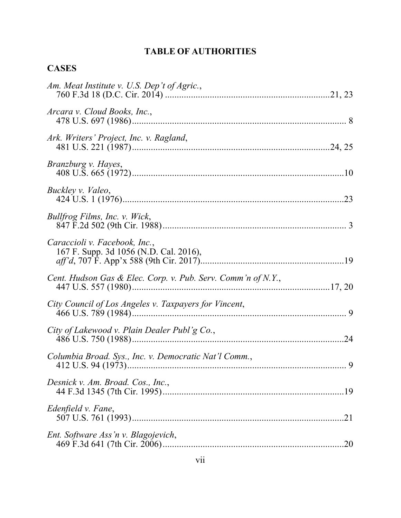# **TABLE OF AUTHORITIES**

# **CASES**

| Am. Meat Institute v. U.S. Dep't of Agric.,                             |     |
|-------------------------------------------------------------------------|-----|
| Arcara v. Cloud Books, Inc.,                                            |     |
| Ark. Writers' Project, Inc. v. Ragland,                                 |     |
| Branzburg v. Hayes,                                                     |     |
| Buckley v. Valeo,                                                       |     |
| Bullfrog Films, Inc. v. Wick,                                           |     |
| Caraccioli v. Facebook, Inc.,<br>167 F. Supp. 3d 1056 (N.D. Cal. 2016), |     |
| Cent. Hudson Gas & Elec. Corp. v. Pub. Serv. Comm'n of N.Y.,            |     |
| City Council of Los Angeles v. Taxpayers for Vincent,                   |     |
| City of Lakewood v. Plain Dealer Publ'g Co.,                            | 24  |
| Columbia Broad. Sys., Inc. v. Democratic Nat'l Comm.,                   |     |
| Desnick v. Am. Broad. Cos., Inc.,                                       |     |
| Edenfield v. Fane,                                                      | .21 |
| Ent. Software Ass'n v. Blagojevich,                                     |     |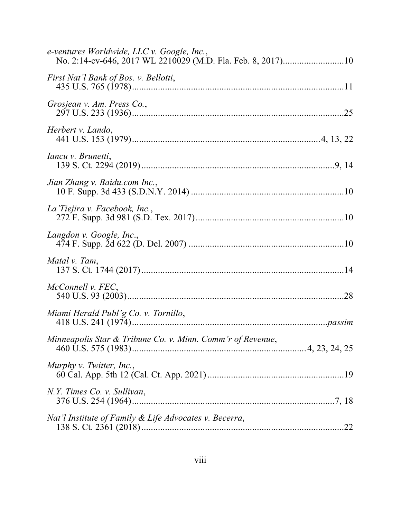| e-ventures Worldwide, LLC v. Google, Inc.,                 |  |
|------------------------------------------------------------|--|
| First Nat'l Bank of Bos. v. Bellotti,                      |  |
| Grosjean v. Am. Press Co.,                                 |  |
| Herbert v. Lando,                                          |  |
| <i>Iancu v. Brunetti,</i>                                  |  |
| Jian Zhang v. Baidu.com Inc.,                              |  |
| La Tiejira v. Facebook, Inc.,                              |  |
| Langdon v. Google, Inc.,                                   |  |
| Matal v. Tam,                                              |  |
| McConnell v. FEC,                                          |  |
| Miami Herald Publ'g Co. v. Tornillo,                       |  |
| Minneapolis Star & Tribune Co. v. Minn. Comm'r of Revenue, |  |
| Murphy v. Twitter, Inc.,                                   |  |
| N.Y. Times Co. v. Sullivan,                                |  |
| Nat'l Institute of Family & Life Advocates v. Becerra,     |  |
|                                                            |  |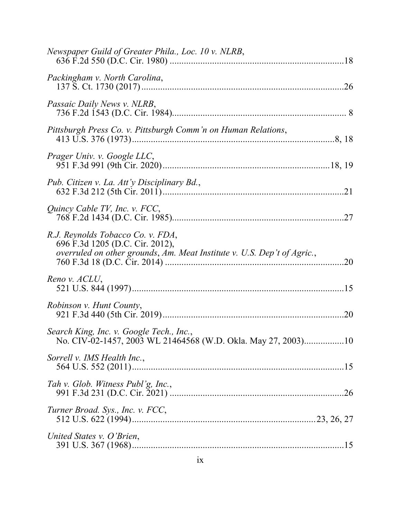| Newspaper Guild of Greater Phila., Loc. 10 v. NLRB,                                                                                             |     |
|-------------------------------------------------------------------------------------------------------------------------------------------------|-----|
| Packingham v. North Carolina,                                                                                                                   |     |
| Passaic Daily News v. NLRB,                                                                                                                     |     |
| Pittsburgh Press Co. v. Pittsburgh Comm'n on Human Relations,                                                                                   |     |
| Prager Univ. v. Google LLC,                                                                                                                     |     |
| Pub. Citizen v. La. Att'y Disciplinary Bd.,                                                                                                     |     |
| Quincy Cable TV, Inc. v. FCC,                                                                                                                   |     |
| R.J. Reynolds Tobacco Co. v. FDA,<br>696 F.3d 1205 (D.C. Cir. 2012),<br>overruled on other grounds, Am. Meat Institute v. U.S. Dep't of Agric., | .20 |
| Reno v. ACLU,                                                                                                                                   | .15 |
| Robinson v. Hunt County,                                                                                                                        |     |
| Search King, Inc. v. Google Tech., Inc.,<br>No. CIV-02-1457, 2003 WL 21464568 (W.D. Okla. May 27, 2003)10                                       |     |
| Sorrell v. IMS Health Inc.,                                                                                                                     |     |
| Tah v. Glob. Witness Publ'g, Inc.,                                                                                                              |     |
| Turner Broad. Sys., Inc. v. FCC,                                                                                                                |     |
| United States v. O'Brien,                                                                                                                       |     |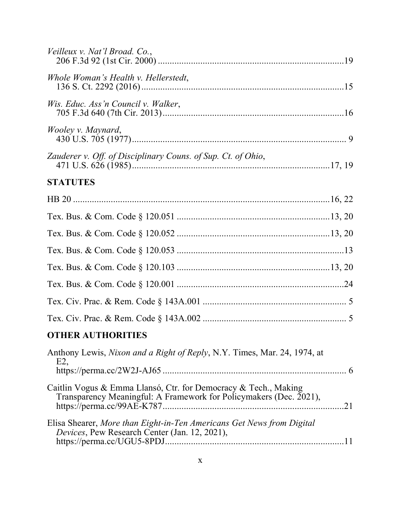| Veilleux v. Nat'l Broad. Co.,                                                                                                         |    |
|---------------------------------------------------------------------------------------------------------------------------------------|----|
| Whole Woman's Health v. Hellerstedt,                                                                                                  |    |
| Wis. Educ. Ass'n Council v. Walker,                                                                                                   |    |
| <i>Wooley v. Maynard,</i>                                                                                                             |    |
| Zauderer v. Off. of Disciplinary Couns. of Sup. Ct. of Ohio,                                                                          |    |
| <b>STATUTES</b>                                                                                                                       |    |
|                                                                                                                                       |    |
|                                                                                                                                       |    |
|                                                                                                                                       |    |
|                                                                                                                                       |    |
|                                                                                                                                       |    |
|                                                                                                                                       |    |
|                                                                                                                                       |    |
|                                                                                                                                       |    |
| <b>OTHER AUTHORITIES</b>                                                                                                              |    |
| Anthony Lewis, Nixon and a Right of Reply, N.Y. Times, Mar. 24, 1974, at<br>E2                                                        |    |
| Caitlin Vogus & Emma Llansó, Ctr. for Democracy & Tech., Making<br>Transparency Meaningful: A Framework for Policymakers (Dec. 2021), | 21 |
| Elisa Shearer, More than Eight-in-Ten Americans Get News from Digital<br>Devices, Pew Research Center (Jan. 12, 2021),                |    |
|                                                                                                                                       |    |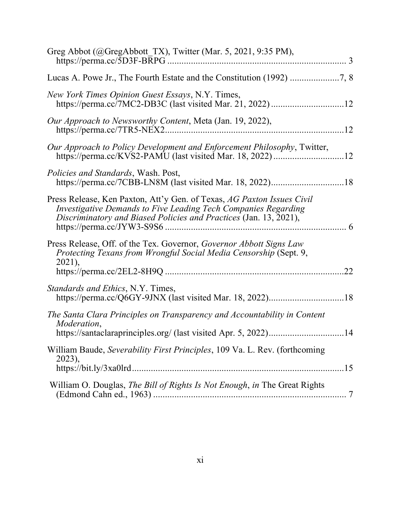| Greg Abbot (@GregAbbott_TX), Twitter (Mar. 5, 2021, 9:35 PM),                                                                                                                                                 | $\overline{\phantom{a}3}$ |
|---------------------------------------------------------------------------------------------------------------------------------------------------------------------------------------------------------------|---------------------------|
|                                                                                                                                                                                                               |                           |
| New York Times Opinion Guest Essays, N.Y. Times,                                                                                                                                                              |                           |
| Our Approach to Newsworthy Content, Meta (Jan. 19, 2022),                                                                                                                                                     |                           |
| Our Approach to Policy Development and Enforcement Philosophy, Twitter,                                                                                                                                       |                           |
| Policies and Standards, Wash. Post,                                                                                                                                                                           |                           |
| Press Release, Ken Paxton, Att'y Gen. of Texas, AG Paxton Issues Civil<br>Investigative Demands to Five Leading Tech Companies Regarding<br>Discriminatory and Biased Policies and Practices (Jan. 13, 2021), | 6                         |
| Press Release, Off. of the Tex. Governor, Governor Abbott Signs Law<br>Protecting Texans from Wrongful Social Media Censorship (Sept. 9,<br>$2021$ ),                                                         | .22                       |
| Standards and Ethics, N.Y. Times,                                                                                                                                                                             |                           |
| The Santa Clara Principles on Transparency and Accountability in Content<br>Moderation,                                                                                                                       |                           |
| William Baude, Severability First Principles, 109 Va. L. Rev. (forthcoming<br>2023),                                                                                                                          | .15                       |
| William O. Douglas, The Bill of Rights Is Not Enough, in The Great Rights                                                                                                                                     |                           |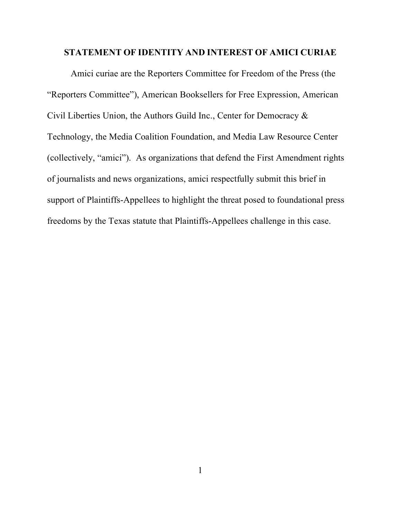#### **STATEMENT OF IDENTITY AND INTEREST OF AMICI CURIAE**

Amici curiae are the Reporters Committee for Freedom of the Press (the "Reporters Committee"), American Booksellers for Free Expression, American Civil Liberties Union, the Authors Guild Inc., Center for Democracy & Technology, the Media Coalition Foundation, and Media Law Resource Center (collectively, "amici"). As organizations that defend the First Amendment rights of journalists and news organizations, amici respectfully submit this brief in support of Plaintiffs-Appellees to highlight the threat posed to foundational press freedoms by the Texas statute that Plaintiffs-Appellees challenge in this case.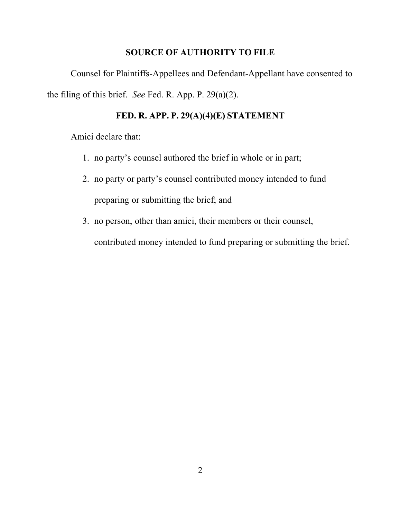## **SOURCE OF AUTHORITY TO FILE**

Counsel for Plaintiffs-Appellees and Defendant-Appellant have consented to the filing of this brief. *See* Fed. R. App. P. 29(a)(2).

## **FED. R. APP. P. 29(A)(4)(E) STATEMENT**

Amici declare that:

- 1. no party's counsel authored the brief in whole or in part;
- 2. no party or party's counsel contributed money intended to fund preparing or submitting the brief; and
- 3. no person, other than amici, their members or their counsel,

contributed money intended to fund preparing or submitting the brief.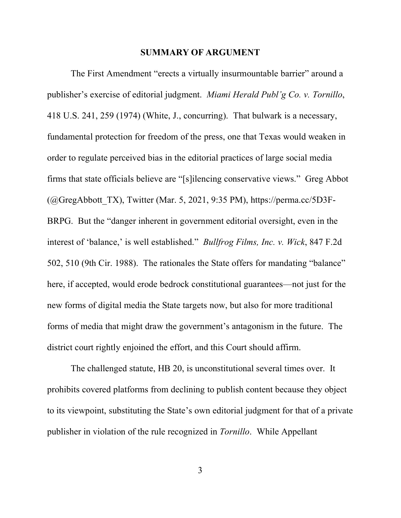#### **SUMMARY OF ARGUMENT**

The First Amendment "erects a virtually insurmountable barrier" around a publisher's exercise of editorial judgment. *Miami Herald Publ'g Co. v. Tornillo*, 418 U.S. 241, 259 (1974) (White, J., concurring). That bulwark is a necessary, fundamental protection for freedom of the press, one that Texas would weaken in order to regulate perceived bias in the editorial practices of large social media firms that state officials believe are "[s]ilencing conservative views." Greg Abbot  $(Q)$ GregAbbott TX), Twitter (Mar. 5, 2021, 9:35 PM), https://perma.cc/5D3F-BRPG. But the "danger inherent in government editorial oversight, even in the interest of 'balance,' is well established." *Bullfrog Films, Inc. v. Wick*, 847 F.2d 502, 510 (9th Cir. 1988). The rationales the State offers for mandating "balance" here, if accepted, would erode bedrock constitutional guarantees—not just for the new forms of digital media the State targets now, but also for more traditional forms of media that might draw the government's antagonism in the future. The district court rightly enjoined the effort, and this Court should affirm.

The challenged statute, HB 20, is unconstitutional several times over. It prohibits covered platforms from declining to publish content because they object to its viewpoint, substituting the State's own editorial judgment for that of a private publisher in violation of the rule recognized in *Tornillo*.While Appellant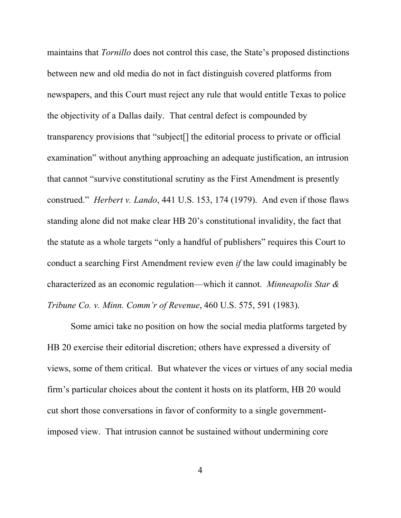maintains that *Tornillo* does not control this case, the State's proposed distinctions between new and old media do not in fact distinguish covered platforms from newspapers, and this Court must reject any rule that would entitle Texas to police the objectivity of a Dallas daily. That central defect is compounded by transparency provisions that "subject[] the editorial process to private or official examination" without anything approaching an adequate justification, an intrusion that cannot "survive constitutional scrutiny as the First Amendment is presently construed." *Herbert v. Lando*, 441 U.S. 153, 174 (1979). And even if those flaws standing alone did not make clear HB 20's constitutional invalidity, the fact that the statute as a whole targets "only a handful of publishers" requires this Court to conduct a searching First Amendment review even *if* the law could imaginably be characterized as an economic regulation—which it cannot. *Minneapolis Star & Tribune Co. v. Minn. Comm'r of Revenue*, 460 U.S. 575, 591 (1983).

Some amici take no position on how the social media platforms targeted by HB 20 exercise their editorial discretion; others have expressed a diversity of views, some of them critical. But whatever the vices or virtues of any social media firm's particular choices about the content it hosts on its platform, HB 20 would cut short those conversations in favor of conformity to a single governmentimposed view. That intrusion cannot be sustained without undermining core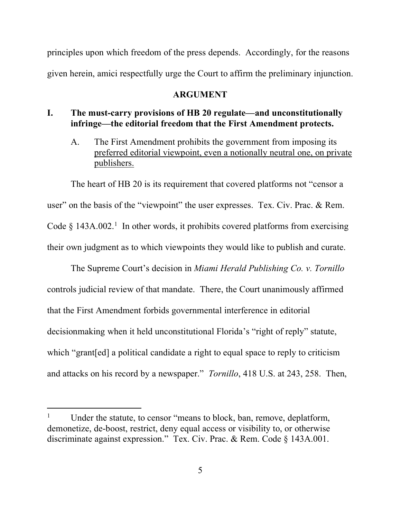principles upon which freedom of the press depends. Accordingly, for the reasons given herein, amici respectfully urge the Court to affirm the preliminary injunction.

#### **ARGUMENT**

## **I. The must-carry provisions of HB 20 regulate––and unconstitutionally infringe––the editorial freedom that the First Amendment protects.**

A. The First Amendment prohibits the government from imposing its preferred editorial viewpoint, even a notionally neutral one, on private publishers.

The heart of HB 20 is its requirement that covered platforms not "censor a user" on the basis of the "viewpoint" the user expresses. Tex. Civ. Prac. & Rem. Code  $\S$  143A.002.<sup>1</sup> In other words, it prohibits covered platforms from exercising their own judgment as to which viewpoints they would like to publish and curate.

The Supreme Court's decision in *Miami Herald Publishing Co. v. Tornillo* controls judicial review of that mandate. There, the Court unanimously affirmed that the First Amendment forbids governmental interference in editorial decisionmaking when it held unconstitutional Florida's "right of reply" statute, which "grant[ed] a political candidate a right to equal space to reply to criticism and attacks on his record by a newspaper." *Tornillo*, 418 U.S. at 243, 258. Then,

Under the statute, to censor "means to block, ban, remove, deplatform, demonetize, de-boost, restrict, deny equal access or visibility to, or otherwise discriminate against expression." Tex. Civ. Prac. & Rem. Code § 143A.001.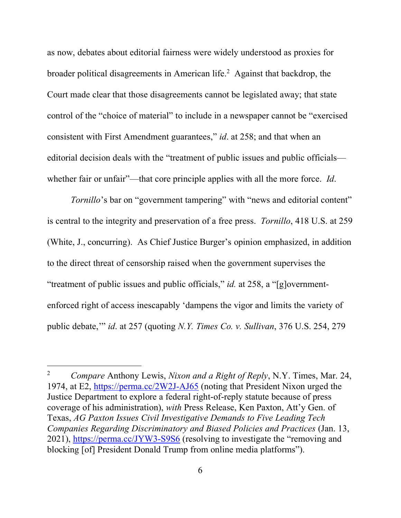as now, debates about editorial fairness were widely understood as proxies for broader political disagreements in American life.<sup>2</sup> Against that backdrop, the Court made clear that those disagreements cannot be legislated away; that state control of the "choice of material" to include in a newspaper cannot be "exercised consistent with First Amendment guarantees," *id*. at 258; and that when an editorial decision deals with the "treatment of public issues and public officials whether fair or unfair"—that core principle applies with all the more force. *Id*.

*Tornillo*'s bar on "government tampering" with "news and editorial content" is central to the integrity and preservation of a free press. *Tornillo*, 418 U.S. at 259 (White, J., concurring). As Chief Justice Burger's opinion emphasized, in addition to the direct threat of censorship raised when the government supervises the "treatment of public issues and public officials," *id.* at 258, a "[g]overnmentenforced right of access inescapably 'dampens the vigor and limits the variety of public debate,'" *id*. at 257 (quoting *N.Y. Times Co. v. Sullivan*, 376 U.S. 254, 279

l

<sup>2</sup> *Compare* Anthony Lewis, *Nixon and a Right of Reply*, N.Y. Times, Mar. 24, 1974, at E2, https://perma.cc/2W2J-AJ65 (noting that President Nixon urged the Justice Department to explore a federal right-of-reply statute because of press coverage of his administration), *with* Press Release, Ken Paxton, Att'y Gen. of Texas, *AG Paxton Issues Civil Investigative Demands to Five Leading Tech Companies Regarding Discriminatory and Biased Policies and Practices* (Jan. 13, 2021), https://perma.cc/JYW3-S9S6 (resolving to investigate the "removing and blocking [of] President Donald Trump from online media platforms").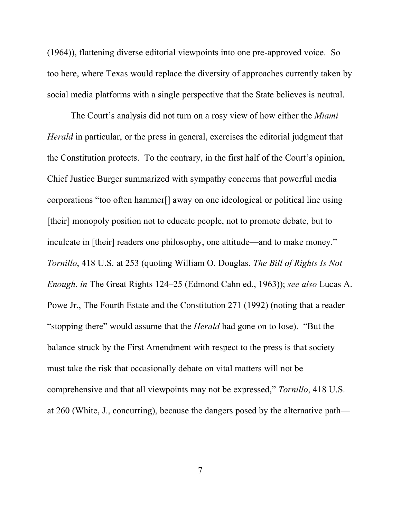(1964)), flattening diverse editorial viewpoints into one pre-approved voice. So too here, where Texas would replace the diversity of approaches currently taken by social media platforms with a single perspective that the State believes is neutral.

The Court's analysis did not turn on a rosy view of how either the *Miami Herald* in particular, or the press in general, exercises the editorial judgment that the Constitution protects. To the contrary, in the first half of the Court's opinion, Chief Justice Burger summarized with sympathy concerns that powerful media corporations "too often hammer[] away on one ideological or political line using [their] monopoly position not to educate people, not to promote debate, but to inculcate in [their] readers one philosophy, one attitude—and to make money." *Tornillo*, 418 U.S. at 253 (quoting William O. Douglas, *The Bill of Rights Is Not Enough*, *in* The Great Rights 124–25 (Edmond Cahn ed., 1963)); *see also* Lucas A. Powe Jr., The Fourth Estate and the Constitution 271 (1992) (noting that a reader "stopping there" would assume that the *Herald* had gone on to lose). "But the balance struck by the First Amendment with respect to the press is that society must take the risk that occasionally debate on vital matters will not be comprehensive and that all viewpoints may not be expressed," *Tornillo*, 418 U.S. at 260 (White, J., concurring), because the dangers posed by the alternative path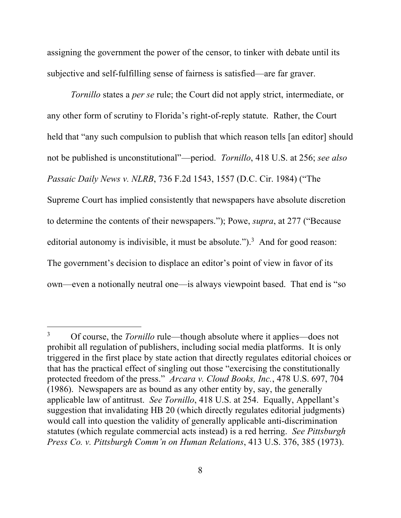assigning the government the power of the censor, to tinker with debate until its subjective and self-fulfilling sense of fairness is satisfied—are far graver.

*Tornillo* states a *per se* rule; the Court did not apply strict, intermediate, or any other form of scrutiny to Florida's right-of-reply statute. Rather, the Court held that "any such compulsion to publish that which reason tells [an editor] should not be published is unconstitutional"—period. *Tornillo*, 418 U.S. at 256; *see also Passaic Daily News v. NLRB*, 736 F.2d 1543, 1557 (D.C. Cir. 1984) ("The Supreme Court has implied consistently that newspapers have absolute discretion to determine the contents of their newspapers."); Powe, *supra*, at 277 ("Because editorial autonomy is indivisible, it must be absolute.").<sup>3</sup> And for good reason: The government's decision to displace an editor's point of view in favor of its own—even a notionally neutral one—is always viewpoint based. That end is "so

<sup>3</sup> Of course, the *Tornillo* rule—though absolute where it applies—does not prohibit all regulation of publishers, including social media platforms. It is only triggered in the first place by state action that directly regulates editorial choices or that has the practical effect of singling out those "exercising the constitutionally protected freedom of the press." *Arcara v. Cloud Books, Inc.*, 478 U.S. 697, 704 (1986). Newspapers are as bound as any other entity by, say, the generally applicable law of antitrust. *See Tornillo*, 418 U.S. at 254. Equally, Appellant's suggestion that invalidating HB 20 (which directly regulates editorial judgments) would call into question the validity of generally applicable anti-discrimination statutes (which regulate commercial acts instead) is a red herring. *See Pittsburgh Press Co. v. Pittsburgh Comm'n on Human Relations*, 413 U.S. 376, 385 (1973).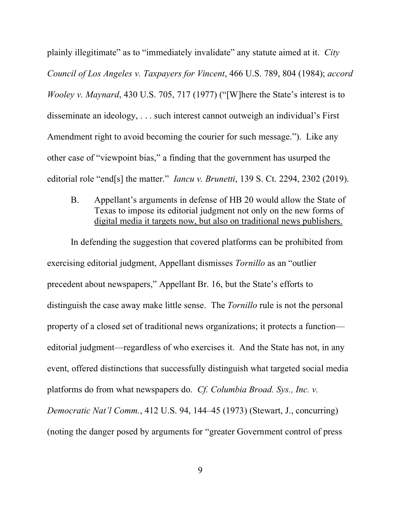plainly illegitimate" as to "immediately invalidate" any statute aimed at it. *City Council of Los Angeles v. Taxpayers for Vincent*, 466 U.S. 789, 804 (1984); *accord Wooley v. Maynard*, 430 U.S. 705, 717 (1977) ("[W]here the State's interest is to disseminate an ideology, . . . such interest cannot outweigh an individual's First Amendment right to avoid becoming the courier for such message."). Like any other case of "viewpoint bias," a finding that the government has usurped the editorial role "end[s] the matter." *Iancu v. Brunetti*, 139 S. Ct. 2294, 2302 (2019).

B. Appellant's arguments in defense of HB 20 would allow the State of Texas to impose its editorial judgment not only on the new forms of digital media it targets now, but also on traditional news publishers.

In defending the suggestion that covered platforms can be prohibited from exercising editorial judgment, Appellant dismisses *Tornillo* as an "outlier precedent about newspapers," Appellant Br. 16, but the State's efforts to distinguish the case away make little sense. The *Tornillo* rule is not the personal property of a closed set of traditional news organizations; it protects a function editorial judgment—regardless of who exercises it.And the State has not, in any event, offered distinctions that successfully distinguish what targeted social media platforms do from what newspapers do. *Cf. Columbia Broad. Sys., Inc. v. Democratic Nat'l Comm.*, 412 U.S. 94, 144–45 (1973) (Stewart, J., concurring) (noting the danger posed by arguments for "greater Government control of press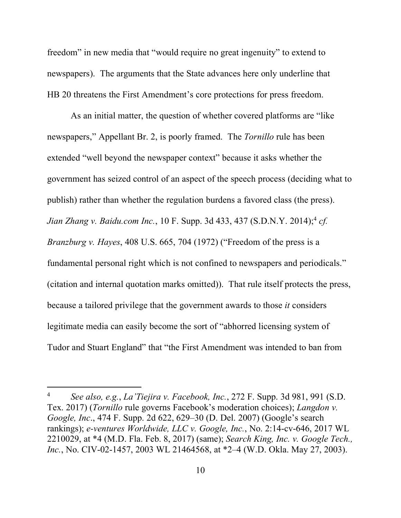freedom" in new media that "would require no great ingenuity" to extend to newspapers). The arguments that the State advances here only underline that HB 20 threatens the First Amendment's core protections for press freedom.

As an initial matter, the question of whether covered platforms are "like newspapers," Appellant Br. 2, is poorly framed. The *Tornillo* rule has been extended "well beyond the newspaper context" because it asks whether the government has seized control of an aspect of the speech process (deciding what to publish) rather than whether the regulation burdens a favored class (the press). *Jian Zhang v. Baidu.com Inc.*, 10 F. Supp. 3d 433, 437 (S.D.N.Y. 2014); <sup>4</sup> *cf. Branzburg v. Hayes*, 408 U.S. 665, 704 (1972) ("Freedom of the press is a fundamental personal right which is not confined to newspapers and periodicals." (citation and internal quotation marks omitted)). That rule itself protects the press, because a tailored privilege that the government awards to those *it* considers legitimate media can easily become the sort of "abhorred licensing system of Tudor and Stuart England" that "the First Amendment was intended to ban from

<sup>4</sup> *See also, e.g.*, *La'Tiejira v. Facebook, Inc.*, 272 F. Supp. 3d 981, 991 (S.D. Tex. 2017) (*Tornillo* rule governs Facebook's moderation choices); *Langdon v. Google, Inc*., 474 F. Supp. 2d 622, 629–30 (D. Del. 2007) (Google's search rankings); *e-ventures Worldwide, LLC v. Google, Inc.*, No. 2:14-cv-646, 2017 WL 2210029, at \*4 (M.D. Fla. Feb. 8, 2017) (same); *Search King, Inc. v. Google Tech., Inc.*, No. CIV-02-1457, 2003 WL 21464568, at \*2–4 (W.D. Okla. May 27, 2003).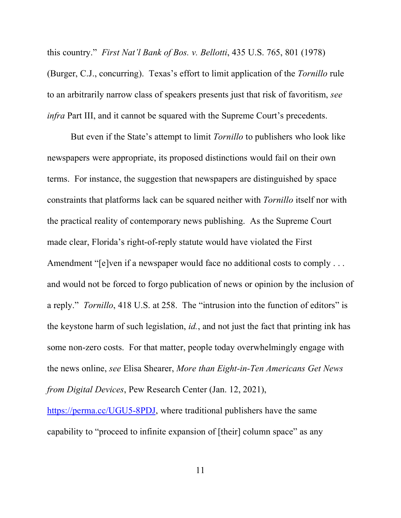this country." *First Nat'l Bank of Bos. v. Bellotti*, 435 U.S. 765, 801 (1978) (Burger, C.J., concurring). Texas's effort to limit application of the *Tornillo* rule to an arbitrarily narrow class of speakers presents just that risk of favoritism, *see infra* Part III, and it cannot be squared with the Supreme Court's precedents.

But even if the State's attempt to limit *Tornillo* to publishers who look like newspapers were appropriate, its proposed distinctions would fail on their own terms. For instance, the suggestion that newspapers are distinguished by space constraints that platforms lack can be squared neither with *Tornillo* itself nor with the practical reality of contemporary news publishing. As the Supreme Court made clear, Florida's right-of-reply statute would have violated the First Amendment "[e]ven if a newspaper would face no additional costs to comply . . . and would not be forced to forgo publication of news or opinion by the inclusion of a reply." *Tornillo*, 418 U.S. at 258. The "intrusion into the function of editors" is the keystone harm of such legislation, *id.*, and not just the fact that printing ink has some non-zero costs. For that matter, people today overwhelmingly engage with the news online, *see* Elisa Shearer, *More than Eight-in-Ten Americans Get News from Digital Devices*, Pew Research Center (Jan. 12, 2021),

https://perma.cc/UGU5-8PDJ, where traditional publishers have the same capability to "proceed to infinite expansion of [their] column space" as any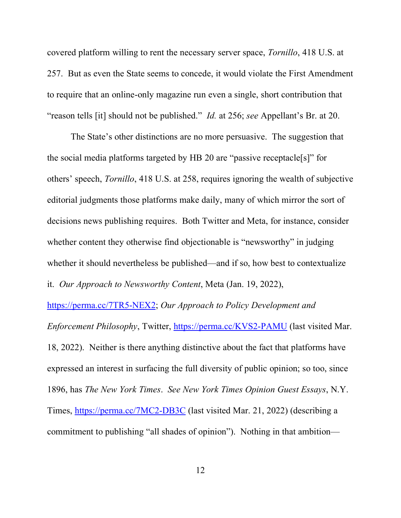covered platform willing to rent the necessary server space, *Tornillo*, 418 U.S. at 257. But as even the State seems to concede, it would violate the First Amendment to require that an online-only magazine run even a single, short contribution that "reason tells [it] should not be published." *Id.* at 256; *see* Appellant's Br. at 20.

The State's other distinctions are no more persuasive. The suggestion that the social media platforms targeted by HB 20 are "passive receptacle[s]" for others' speech, *Tornillo*, 418 U.S. at 258, requires ignoring the wealth of subjective editorial judgments those platforms make daily, many of which mirror the sort of decisions news publishing requires. Both Twitter and Meta, for instance, consider whether content they otherwise find objectionable is "newsworthy" in judging whether it should nevertheless be published—and if so, how best to contextualize it. *Our Approach to Newsworthy Content*, Meta (Jan. 19, 2022),

https://perma.cc/7TR5-NEX2; *Our Approach to Policy Development and Enforcement Philosophy*, Twitter, https://perma.cc/KVS2-PAMU (last visited Mar. 18, 2022). Neither is there anything distinctive about the fact that platforms have expressed an interest in surfacing the full diversity of public opinion; so too, since 1896, has *The New York Times*. *See New York Times Opinion Guest Essays*, N.Y. Times, https://perma.cc/7MC2-DB3C (last visited Mar. 21, 2022) (describing a commitment to publishing "all shades of opinion"). Nothing in that ambition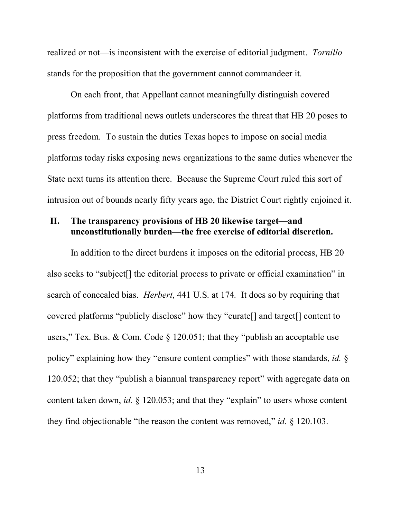realized or not—is inconsistent with the exercise of editorial judgment. *Tornillo*  stands for the proposition that the government cannot commandeer it.

On each front, that Appellant cannot meaningfully distinguish covered platforms from traditional news outlets underscores the threat that HB 20 poses to press freedom. To sustain the duties Texas hopes to impose on social media platforms today risks exposing news organizations to the same duties whenever the State next turns its attention there. Because the Supreme Court ruled this sort of intrusion out of bounds nearly fifty years ago, the District Court rightly enjoined it.

## **II. The transparency provisions of HB 20 likewise target—and unconstitutionally burden—the free exercise of editorial discretion.**

In addition to the direct burdens it imposes on the editorial process, HB 20 also seeks to "subject[] the editorial process to private or official examination" in search of concealed bias. *Herbert*, 441 U.S. at 174*.* It does so by requiring that covered platforms "publicly disclose" how they "curate[] and target[] content to users," Tex. Bus. & Com. Code  $\S$  120.051; that they "publish an acceptable use policy" explaining how they "ensure content complies" with those standards, *id.* § 120.052; that they "publish a biannual transparency report" with aggregate data on content taken down, *id.* § 120.053; and that they "explain" to users whose content they find objectionable "the reason the content was removed," *id.* § 120.103.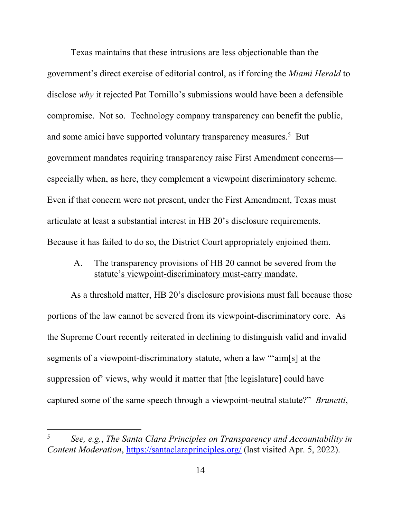Texas maintains that these intrusions are less objectionable than the government's direct exercise of editorial control, as if forcing the *Miami Herald* to disclose *why* it rejected Pat Tornillo's submissions would have been a defensible compromise. Not so. Technology company transparency can benefit the public, and some amici have supported voluntary transparency measures.<sup>5</sup> But government mandates requiring transparency raise First Amendment concerns especially when, as here, they complement a viewpoint discriminatory scheme. Even if that concern were not present, under the First Amendment, Texas must articulate at least a substantial interest in HB 20's disclosure requirements. Because it has failed to do so, the District Court appropriately enjoined them.

A. The transparency provisions of HB 20 cannot be severed from the statute's viewpoint-discriminatory must-carry mandate.

As a threshold matter, HB 20's disclosure provisions must fall because those portions of the law cannot be severed from its viewpoint-discriminatory core. As the Supreme Court recently reiterated in declining to distinguish valid and invalid segments of a viewpoint-discriminatory statute, when a law "'aim[s] at the suppression of views, why would it matter that [the legislature] could have captured some of the same speech through a viewpoint-neutral statute?" *Brunetti*,

<sup>5</sup> *See, e.g.*, *The Santa Clara Principles on Transparency and Accountability in Content Moderation*, https://santaclaraprinciples.org/ (last visited Apr. 5, 2022).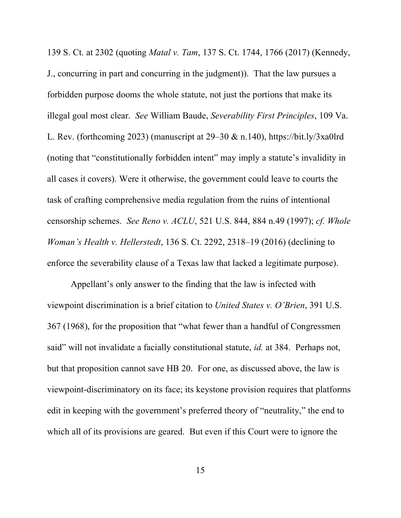139 S. Ct. at 2302 (quoting *Matal v. Tam*, 137 S. Ct. 1744, 1766 (2017) (Kennedy, J., concurring in part and concurring in the judgment)). That the law pursues a forbidden purpose dooms the whole statute, not just the portions that make its illegal goal most clear. *See* William Baude, *Severability First Principles*, 109 Va. L. Rev. (forthcoming 2023) (manuscript at  $29-30 \& n.140$ ), https://bit.ly/3xa0lrd (noting that "constitutionally forbidden intent" may imply a statute's invalidity in all cases it covers). Were it otherwise, the government could leave to courts the task of crafting comprehensive media regulation from the ruins of intentional censorship schemes. *See Reno v. ACLU*, 521 U.S. 844, 884 n.49 (1997); *cf. Whole Woman's Health v. Hellerstedt*, 136 S. Ct. 2292, 2318–19 (2016) (declining to enforce the severability clause of a Texas law that lacked a legitimate purpose).

Appellant's only answer to the finding that the law is infected with viewpoint discrimination is a brief citation to *United States v. O'Brien*, 391 U.S. 367 (1968), for the proposition that "what fewer than a handful of Congressmen said" will not invalidate a facially constitutional statute, *id.* at 384. Perhaps not, but that proposition cannot save HB 20. For one, as discussed above, the law is viewpoint-discriminatory on its face; its keystone provision requires that platforms edit in keeping with the government's preferred theory of "neutrality," the end to which all of its provisions are geared. But even if this Court were to ignore the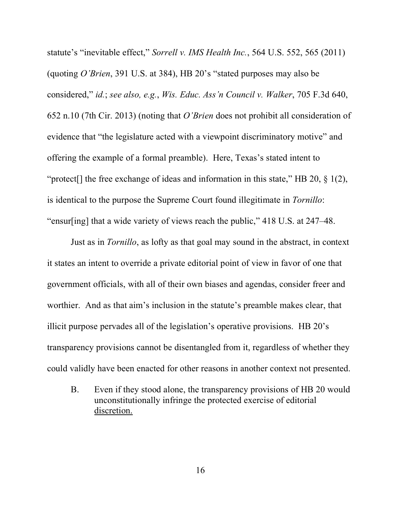statute's "inevitable effect," *Sorrell v. IMS Health Inc.*, 564 U.S. 552, 565 (2011) (quoting *O'Brien*, 391 U.S. at 384), HB 20's "stated purposes may also be considered," *id.*; *see also, e.g.*, *Wis. Educ. Ass'n Council v. Walker*, 705 F.3d 640, 652 n.10 (7th Cir. 2013) (noting that *O'Brien* does not prohibit all consideration of evidence that "the legislature acted with a viewpoint discriminatory motive" and offering the example of a formal preamble). Here, Texas's stated intent to "protect<sup>[]</sup> the free exchange of ideas and information in this state," HB 20,  $\S$  1(2), is identical to the purpose the Supreme Court found illegitimate in *Tornillo*: "ensur[ing] that a wide variety of views reach the public," 418 U.S. at 247–48.

Just as in *Tornillo*, as lofty as that goal may sound in the abstract, in context it states an intent to override a private editorial point of view in favor of one that government officials, with all of their own biases and agendas, consider freer and worthier. And as that aim's inclusion in the statute's preamble makes clear, that illicit purpose pervades all of the legislation's operative provisions. HB 20's transparency provisions cannot be disentangled from it, regardless of whether they could validly have been enacted for other reasons in another context not presented.

B. Even if they stood alone, the transparency provisions of HB 20 would unconstitutionally infringe the protected exercise of editorial discretion.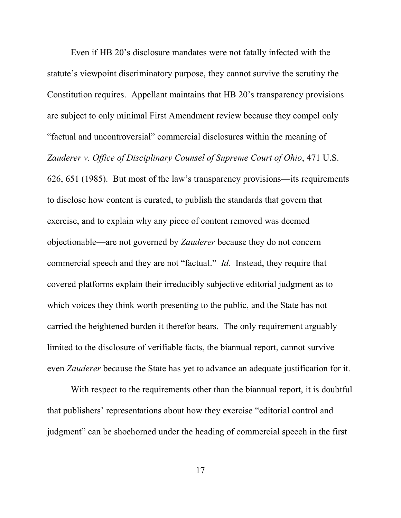Even if HB 20's disclosure mandates were not fatally infected with the statute's viewpoint discriminatory purpose, they cannot survive the scrutiny the Constitution requires. Appellant maintains that HB 20's transparency provisions are subject to only minimal First Amendment review because they compel only "factual and uncontroversial" commercial disclosures within the meaning of *Zauderer v. Office of Disciplinary Counsel of Supreme Court of Ohio*, 471 U.S. 626, 651 (1985). But most of the law's transparency provisions—its requirements to disclose how content is curated, to publish the standards that govern that exercise, and to explain why any piece of content removed was deemed objectionable—are not governed by *Zauderer* because they do not concern commercial speech and they are not "factual." *Id.* Instead, they require that covered platforms explain their irreducibly subjective editorial judgment as to which voices they think worth presenting to the public, and the State has not carried the heightened burden it therefor bears. The only requirement arguably limited to the disclosure of verifiable facts, the biannual report, cannot survive even *Zauderer* because the State has yet to advance an adequate justification for it.

With respect to the requirements other than the biannual report, it is doubtful that publishers' representations about how they exercise "editorial control and judgment" can be shoehorned under the heading of commercial speech in the first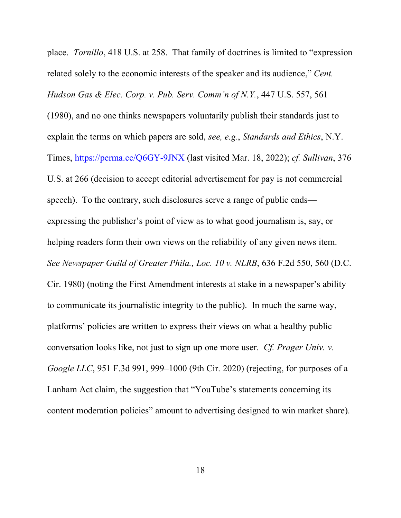place. *Tornillo*, 418 U.S. at 258. That family of doctrines is limited to "expression related solely to the economic interests of the speaker and its audience," *Cent. Hudson Gas & Elec. Corp. v. Pub. Serv. Comm'n of N.Y.*, 447 U.S. 557, 561 (1980), and no one thinks newspapers voluntarily publish their standards just to explain the terms on which papers are sold, *see, e.g.*, *Standards and Ethics*, N.Y. Times, https://perma.cc/Q6GY-9JNX (last visited Mar. 18, 2022); *cf. Sullivan*, 376 U.S. at 266 (decision to accept editorial advertisement for pay is not commercial speech). To the contrary, such disclosures serve a range of public ends expressing the publisher's point of view as to what good journalism is, say, or helping readers form their own views on the reliability of any given news item. *See Newspaper Guild of Greater Phila., Loc. 10 v. NLRB*, 636 F.2d 550, 560 (D.C. Cir. 1980) (noting the First Amendment interests at stake in a newspaper's ability to communicate its journalistic integrity to the public). In much the same way, platforms' policies are written to express their views on what a healthy public conversation looks like, not just to sign up one more user. *Cf. Prager Univ. v. Google LLC*, 951 F.3d 991, 999–1000 (9th Cir. 2020) (rejecting, for purposes of a Lanham Act claim, the suggestion that "YouTube's statements concerning its content moderation policies" amount to advertising designed to win market share).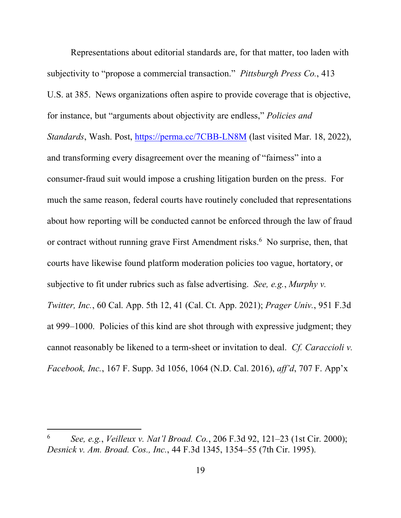Representations about editorial standards are, for that matter, too laden with subjectivity to "propose a commercial transaction." *Pittsburgh Press Co.*, 413 U.S. at 385. News organizations often aspire to provide coverage that is objective, for instance, but "arguments about objectivity are endless," *Policies and Standards*, Wash. Post, https://perma.cc/7CBB-LN8M (last visited Mar. 18, 2022), and transforming every disagreement over the meaning of "fairness" into a consumer-fraud suit would impose a crushing litigation burden on the press. For much the same reason, federal courts have routinely concluded that representations about how reporting will be conducted cannot be enforced through the law of fraud or contract without running grave First Amendment risks.<sup>6</sup> No surprise, then, that courts have likewise found platform moderation policies too vague, hortatory, or subjective to fit under rubrics such as false advertising. *See, e.g.*, *Murphy v. Twitter, Inc.*, 60 Cal. App. 5th 12, 41 (Cal. Ct. App. 2021); *Prager Univ.*, 951 F.3d at 999–1000. Policies of this kind are shot through with expressive judgment; they cannot reasonably be likened to a term-sheet or invitation to deal. *Cf. Caraccioli v. Facebook, Inc.*, 167 F. Supp. 3d 1056, 1064 (N.D. Cal. 2016), *aff'd*, 707 F. App'x

<sup>6</sup> *See, e.g.*, *Veilleux v. Nat'l Broad. Co.*, 206 F.3d 92, 121–23 (1st Cir. 2000); *Desnick v. Am. Broad. Cos., Inc.*, 44 F.3d 1345, 1354–55 (7th Cir. 1995).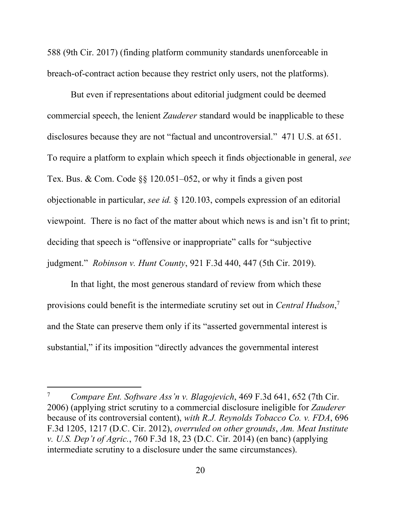588 (9th Cir. 2017) (finding platform community standards unenforceable in breach-of-contract action because they restrict only users, not the platforms).

But even if representations about editorial judgment could be deemed commercial speech, the lenient *Zauderer* standard would be inapplicable to these disclosures because they are not "factual and uncontroversial." 471 U.S. at 651. To require a platform to explain which speech it finds objectionable in general, *see* Tex. Bus. & Com. Code §§ 120.051–052, or why it finds a given post objectionable in particular, *see id.* § 120.103, compels expression of an editorial viewpoint. There is no fact of the matter about which news is and isn't fit to print; deciding that speech is "offensive or inappropriate" calls for "subjective judgment." *Robinson v. Hunt County*, 921 F.3d 440, 447 (5th Cir. 2019).

In that light, the most generous standard of review from which these provisions could benefit is the intermediate scrutiny set out in *Central Hudson*, 7 and the State can preserve them only if its "asserted governmental interest is substantial," if its imposition "directly advances the governmental interest

<sup>7</sup> *Compare Ent. Software Ass'n v. Blagojevich*, 469 F.3d 641, 652 (7th Cir. 2006) (applying strict scrutiny to a commercial disclosure ineligible for *Zauderer*  because of its controversial content), *with R.J. Reynolds Tobacco Co. v. FDA*, 696 F.3d 1205, 1217 (D.C. Cir. 2012), *overruled on other grounds*, *Am. Meat Institute v. U.S. Dep't of Agric.*, 760 F.3d 18, 23 (D.C. Cir. 2014) (en banc) (applying intermediate scrutiny to a disclosure under the same circumstances).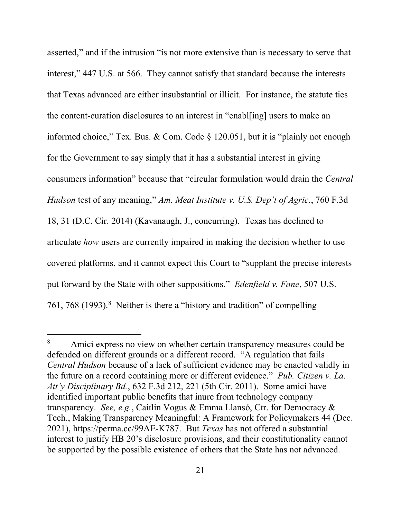asserted," and if the intrusion "is not more extensive than is necessary to serve that interest," 447 U.S. at 566. They cannot satisfy that standard because the interests that Texas advanced are either insubstantial or illicit. For instance, the statute ties the content-curation disclosures to an interest in "enabl[ing] users to make an informed choice," Tex. Bus. & Com. Code  $\S$  120.051, but it is "plainly not enough for the Government to say simply that it has a substantial interest in giving consumers information" because that "circular formulation would drain the *Central Hudson* test of any meaning," *Am. Meat Institute v. U.S. Dep't of Agric.*, 760 F.3d 18, 31 (D.C. Cir. 2014) (Kavanaugh, J., concurring). Texas has declined to articulate *how* users are currently impaired in making the decision whether to use covered platforms, and it cannot expect this Court to "supplant the precise interests put forward by the State with other suppositions." *Edenfield v. Fane*, 507 U.S. 761, 768 (1993). 8 Neither is there a "history and tradition" of compelling

<sup>&</sup>lt;sup>8</sup> Amici express no view on whether certain transparency measures could be defended on different grounds or a different record. "A regulation that fails *Central Hudson* because of a lack of sufficient evidence may be enacted validly in the future on a record containing more or different evidence." *Pub. Citizen v. La. Att'y Disciplinary Bd.*, 632 F.3d 212, 221 (5th Cir. 2011). Some amici have identified important public benefits that inure from technology company transparency. *See, e.g.*, Caitlin Vogus & Emma Llansó, Ctr. for Democracy & Tech., Making Transparency Meaningful: A Framework for Policymakers 44 (Dec. 2021), https://perma.cc/99AE-K787. But *Texas* has not offered a substantial interest to justify HB 20's disclosure provisions, and their constitutionality cannot be supported by the possible existence of others that the State has not advanced.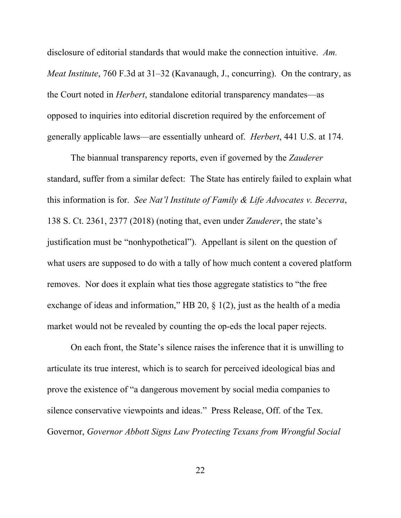disclosure of editorial standards that would make the connection intuitive. *Am. Meat Institute*, 760 F.3d at 31–32 (Kavanaugh, J., concurring). On the contrary, as the Court noted in *Herbert*, standalone editorial transparency mandates—as opposed to inquiries into editorial discretion required by the enforcement of generally applicable laws—are essentially unheard of. *Herbert*, 441 U.S. at 174.

The biannual transparency reports, even if governed by the *Zauderer* standard, suffer from a similar defect: The State has entirely failed to explain what this information is for. *See Nat'l Institute of Family & Life Advocates v. Becerra*, 138 S. Ct. 2361, 2377 (2018) (noting that, even under *Zauderer*, the state's justification must be "nonhypothetical"). Appellant is silent on the question of what users are supposed to do with a tally of how much content a covered platform removes. Nor does it explain what ties those aggregate statistics to "the free exchange of ideas and information," HB 20, § 1(2), just as the health of a media market would not be revealed by counting the op-eds the local paper rejects.

On each front, the State's silence raises the inference that it is unwilling to articulate its true interest, which is to search for perceived ideological bias and prove the existence of "a dangerous movement by social media companies to silence conservative viewpoints and ideas." Press Release, Off. of the Tex. Governor, *Governor Abbott Signs Law Protecting Texans from Wrongful Social*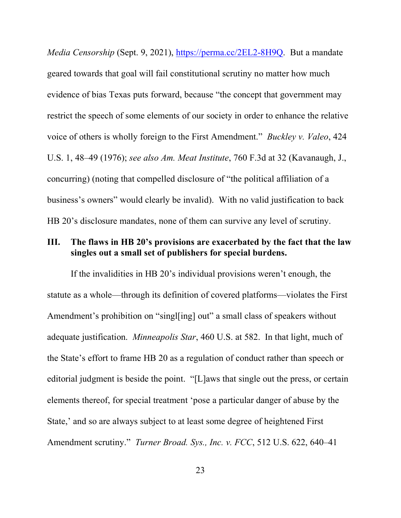*Media Censorship* (Sept. 9, 2021), https://perma.cc/2EL2-8H9Q. But a mandate geared towards that goal will fail constitutional scrutiny no matter how much evidence of bias Texas puts forward, because "the concept that government may restrict the speech of some elements of our society in order to enhance the relative voice of others is wholly foreign to the First Amendment." *Buckley v. Valeo*, 424 U.S. 1, 48–49 (1976); *see also Am. Meat Institute*, 760 F.3d at 32 (Kavanaugh, J., concurring) (noting that compelled disclosure of "the political affiliation of a business's owners" would clearly be invalid). With no valid justification to back HB 20's disclosure mandates, none of them can survive any level of scrutiny.

#### **III. The flaws in HB 20's provisions are exacerbated by the fact that the law singles out a small set of publishers for special burdens.**

If the invalidities in HB 20's individual provisions weren't enough, the statute as a whole—through its definition of covered platforms—violates the First Amendment's prohibition on "singlesting] out" a small class of speakers without adequate justification. *Minneapolis Star*, 460 U.S. at 582. In that light, much of the State's effort to frame HB 20 as a regulation of conduct rather than speech or editorial judgment is beside the point. "[L]aws that single out the press, or certain elements thereof, for special treatment 'pose a particular danger of abuse by the State,' and so are always subject to at least some degree of heightened First Amendment scrutiny." *Turner Broad. Sys., Inc. v. FCC*, 512 U.S. 622, 640–41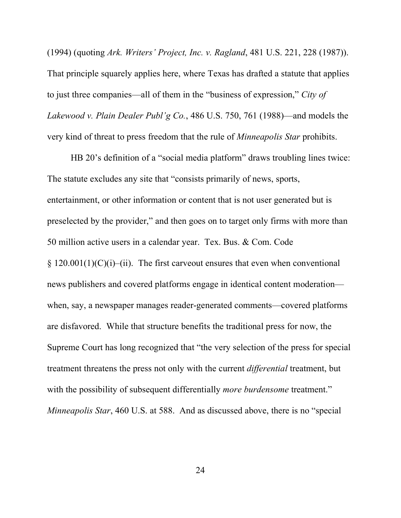(1994) (quoting *Ark. Writers' Project, Inc. v. Ragland*, 481 U.S. 221, 228 (1987)). That principle squarely applies here, where Texas has drafted a statute that applies to just three companies—all of them in the "business of expression," *City of Lakewood v. Plain Dealer Publ'g Co.*, 486 U.S. 750, 761 (1988)—and models the very kind of threat to press freedom that the rule of *Minneapolis Star* prohibits.

HB 20's definition of a "social media platform" draws troubling lines twice: The statute excludes any site that "consists primarily of news, sports, entertainment, or other information or content that is not user generated but is preselected by the provider," and then goes on to target only firms with more than 50 million active users in a calendar year. Tex. Bus. & Com. Code  $\S 120.001(1)(C)(i)$ –(ii). The first carveout ensures that even when conventional news publishers and covered platforms engage in identical content moderation when, say, a newspaper manages reader-generated comments—covered platforms are disfavored. While that structure benefits the traditional press for now, the Supreme Court has long recognized that "the very selection of the press for special treatment threatens the press not only with the current *differential* treatment, but with the possibility of subsequent differentially *more burdensome* treatment." *Minneapolis Star*, 460 U.S. at 588. And as discussed above, there is no "special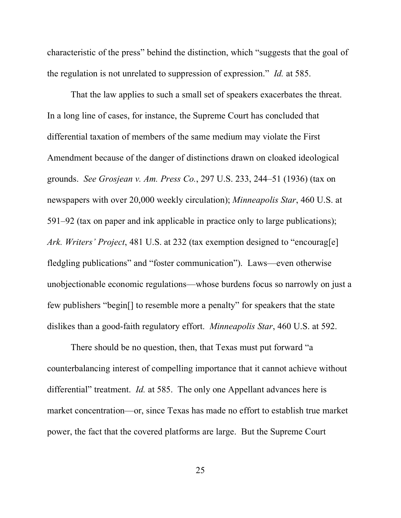characteristic of the press" behind the distinction, which "suggests that the goal of the regulation is not unrelated to suppression of expression." *Id.* at 585.

That the law applies to such a small set of speakers exacerbates the threat. In a long line of cases, for instance, the Supreme Court has concluded that differential taxation of members of the same medium may violate the First Amendment because of the danger of distinctions drawn on cloaked ideological grounds. *See Grosjean v. Am. Press Co.*, 297 U.S. 233, 244–51 (1936) (tax on newspapers with over 20,000 weekly circulation); *Minneapolis Star*, 460 U.S. at 591–92 (tax on paper and ink applicable in practice only to large publications); *Ark. Writers' Project*, 481 U.S. at 232 (tax exemption designed to "encourag[e] fledgling publications" and "foster communication"). Laws—even otherwise unobjectionable economic regulations—whose burdens focus so narrowly on just a few publishers "begin[] to resemble more a penalty" for speakers that the state dislikes than a good-faith regulatory effort. *Minneapolis Star*, 460 U.S. at 592.

There should be no question, then, that Texas must put forward "a counterbalancing interest of compelling importance that it cannot achieve without differential" treatment. *Id.* at 585. The only one Appellant advances here is market concentration—or, since Texas has made no effort to establish true market power, the fact that the covered platforms are large. But the Supreme Court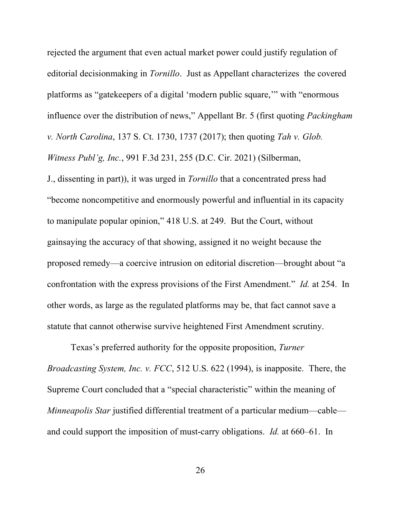rejected the argument that even actual market power could justify regulation of editorial decisionmaking in *Tornillo*. Just as Appellant characterizes the covered platforms as "gatekeepers of a digital 'modern public square,'" with "enormous influence over the distribution of news," Appellant Br. 5 (first quoting *Packingham v. North Carolina*, 137 S. Ct. 1730, 1737 (2017); then quoting *Tah v. Glob. Witness Publ'g, Inc.*, 991 F.3d 231, 255 (D.C. Cir. 2021) (Silberman, J., dissenting in part)), it was urged in *Tornillo* that a concentrated press had "become noncompetitive and enormously powerful and influential in its capacity to manipulate popular opinion," 418 U.S. at 249. But the Court, without gainsaying the accuracy of that showing, assigned it no weight because the proposed remedy—a coercive intrusion on editorial discretion—brought about "a confrontation with the express provisions of the First Amendment." *Id.* at 254. In other words, as large as the regulated platforms may be, that fact cannot save a

statute that cannot otherwise survive heightened First Amendment scrutiny.

Texas's preferred authority for the opposite proposition, *Turner Broadcasting System, Inc. v. FCC*, 512 U.S. 622 (1994), is inapposite. There, the Supreme Court concluded that a "special characteristic" within the meaning of *Minneapolis Star* justified differential treatment of a particular medium—cable and could support the imposition of must-carry obligations. *Id.* at 660–61. In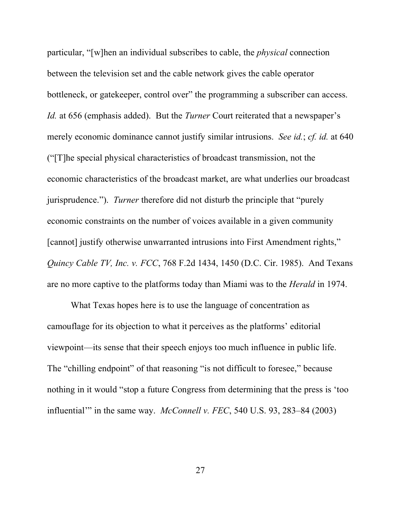particular, "[w]hen an individual subscribes to cable, the *physical* connection between the television set and the cable network gives the cable operator bottleneck, or gatekeeper, control over" the programming a subscriber can access. *Id.* at 656 (emphasis added). But the *Turner* Court reiterated that a newspaper's merely economic dominance cannot justify similar intrusions. *See id.*; *cf. id.* at 640 ("[T]he special physical characteristics of broadcast transmission, not the economic characteristics of the broadcast market, are what underlies our broadcast jurisprudence."). *Turner* therefore did not disturb the principle that "purely economic constraints on the number of voices available in a given community [cannot] justify otherwise unwarranted intrusions into First Amendment rights," *Quincy Cable TV, Inc. v. FCC*, 768 F.2d 1434, 1450 (D.C. Cir. 1985). And Texans are no more captive to the platforms today than Miami was to the *Herald* in 1974.

What Texas hopes here is to use the language of concentration as camouflage for its objection to what it perceives as the platforms' editorial viewpoint—its sense that their speech enjoys too much influence in public life. The "chilling endpoint" of that reasoning "is not difficult to foresee," because nothing in it would "stop a future Congress from determining that the press is 'too influential'" in the same way. *McConnell v. FEC*, 540 U.S. 93, 283–84 (2003)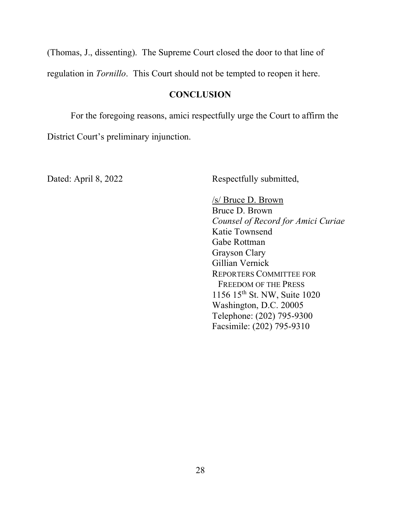(Thomas, J., dissenting). The Supreme Court closed the door to that line of regulation in *Tornillo*. This Court should not be tempted to reopen it here.

## **CONCLUSION**

For the foregoing reasons, amici respectfully urge the Court to affirm the District Court's preliminary injunction.

Dated: April 8, 2022 Respectfully submitted,

/s/ Bruce D. Brown Bruce D. Brown *Counsel of Record for Amici Curiae* Katie Townsend Gabe Rottman Grayson Clary Gillian Vernick REPORTERS COMMITTEE FOR FREEDOM OF THE PRESS 1156 15th St. NW, Suite 1020 Washington, D.C. 20005 Telephone: (202) 795-9300 Facsimile: (202) 795-9310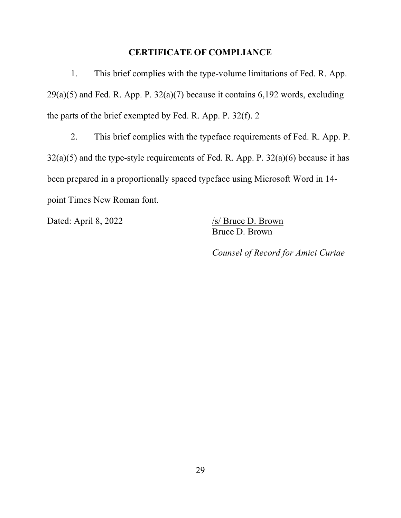#### **CERTIFICATE OF COMPLIANCE**

1. This brief complies with the type-volume limitations of Fed. R. App.  $29(a)(5)$  and Fed. R. App. P.  $32(a)(7)$  because it contains 6,192 words, excluding the parts of the brief exempted by Fed. R. App. P. 32(f). 2

2. This brief complies with the typeface requirements of Fed. R. App. P.  $32(a)(5)$  and the type-style requirements of Fed. R. App. P.  $32(a)(6)$  because it has been prepared in a proportionally spaced typeface using Microsoft Word in 14 point Times New Roman font.

Dated: April 8, 2022 /s/ Bruce D. Brown

Bruce D. Brown

*Counsel of Record for Amici Curiae*